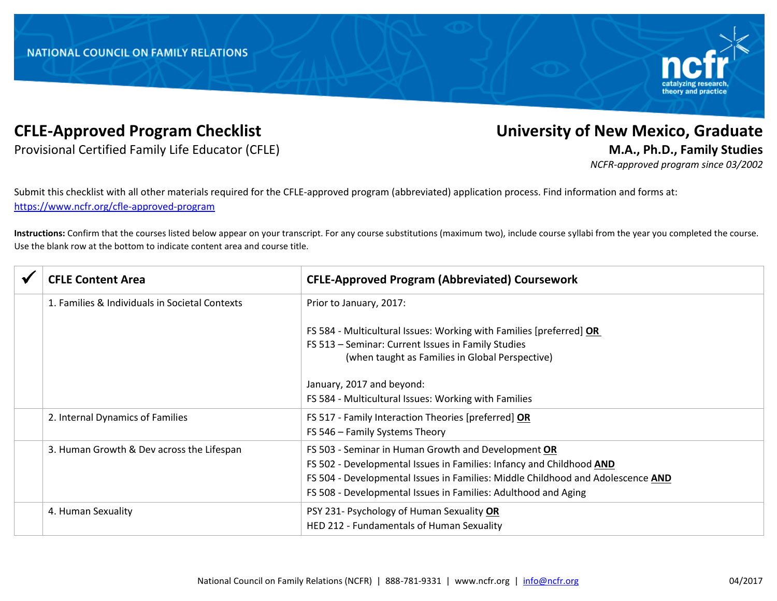

Provisional Certified Family Life Educator (CFLE) **M.A., Ph.D., Family Studies**

## **CFLE-Approved Program Checklist University of New Mexico, Graduate**

*NCFR-approved program since 03/2002*

Submit this checklist with all other materials required for the CFLE-approved program (abbreviated) application process. Find information and forms at: <https://www.ncfr.org/cfle-approved-program>

**Instructions:** Confirm that the courses listed below appear on your transcript. For any course substitutions (maximum two), include course syllabi from the year you completed the course. Use the blank row at the bottom to indicate content area and course title.

|  | <b>CFLE Content Area</b>                       | <b>CFLE-Approved Program (Abbreviated) Coursework</b>                           |
|--|------------------------------------------------|---------------------------------------------------------------------------------|
|  | 1. Families & Individuals in Societal Contexts | Prior to January, 2017:                                                         |
|  |                                                | FS 584 - Multicultural Issues: Working with Families [preferred] OR             |
|  |                                                | FS 513 - Seminar: Current Issues in Family Studies                              |
|  |                                                | (when taught as Families in Global Perspective)                                 |
|  |                                                | January, 2017 and beyond:                                                       |
|  |                                                | FS 584 - Multicultural Issues: Working with Families                            |
|  | 2. Internal Dynamics of Families               | FS 517 - Family Interaction Theories [preferred] OR                             |
|  |                                                | FS 546 - Family Systems Theory                                                  |
|  | 3. Human Growth & Dev across the Lifespan      | FS 503 - Seminar in Human Growth and Development OR                             |
|  |                                                | FS 502 - Developmental Issues in Families: Infancy and Childhood AND            |
|  |                                                | FS 504 - Developmental Issues in Families: Middle Childhood and Adolescence AND |
|  |                                                | FS 508 - Developmental Issues in Families: Adulthood and Aging                  |
|  | 4. Human Sexuality                             | PSY 231- Psychology of Human Sexuality OR                                       |
|  |                                                | HED 212 - Fundamentals of Human Sexuality                                       |